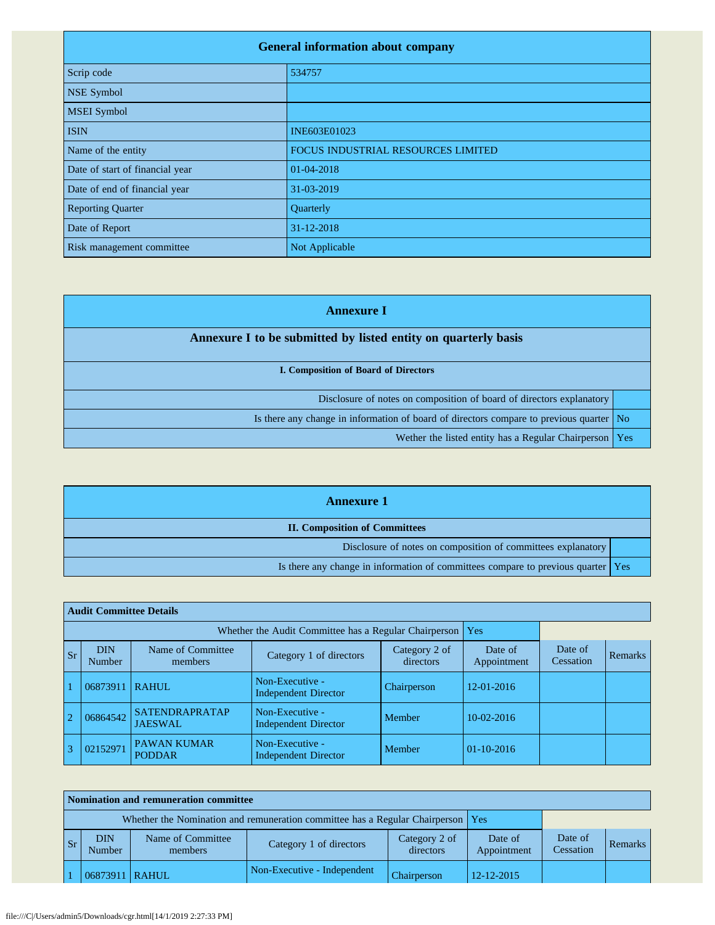| <b>General information about company</b> |                                    |  |  |  |
|------------------------------------------|------------------------------------|--|--|--|
| Scrip code                               | 534757                             |  |  |  |
| <b>NSE Symbol</b>                        |                                    |  |  |  |
| <b>MSEI</b> Symbol                       |                                    |  |  |  |
| <b>ISIN</b>                              | INE603E01023                       |  |  |  |
| Name of the entity                       | FOCUS INDUSTRIAL RESOURCES LIMITED |  |  |  |
| Date of start of financial year          | 01-04-2018                         |  |  |  |
| Date of end of financial year            | 31-03-2019                         |  |  |  |
| <b>Reporting Quarter</b>                 | Quarterly                          |  |  |  |
| Date of Report                           | 31-12-2018                         |  |  |  |
| Risk management committee                | Not Applicable                     |  |  |  |

| <b>Annexure I</b>                                                                       |  |  |  |  |
|-----------------------------------------------------------------------------------------|--|--|--|--|
| Annexure I to be submitted by listed entity on quarterly basis                          |  |  |  |  |
| I. Composition of Board of Directors                                                    |  |  |  |  |
| Disclosure of notes on composition of board of directors explanatory                    |  |  |  |  |
| Is there any change in information of board of directors compare to previous quarter No |  |  |  |  |
| Wether the listed entity has a Regular Chairperson   Yes                                |  |  |  |  |

| <b>Annexure 1</b>                                                                  |  |  |  |
|------------------------------------------------------------------------------------|--|--|--|
| <b>II. Composition of Committees</b>                                               |  |  |  |
| Disclosure of notes on composition of committees explanatory                       |  |  |  |
| Is there any change in information of committees compare to previous quarter   Yes |  |  |  |

|                | <b>Audit Committee Details</b> |                                         |                                                             |                            |                        |                      |         |  |  |
|----------------|--------------------------------|-----------------------------------------|-------------------------------------------------------------|----------------------------|------------------------|----------------------|---------|--|--|
|                |                                |                                         | Whether the Audit Committee has a Regular Chairperson   Yes |                            |                        |                      |         |  |  |
| <b>Sr</b>      | <b>DIN</b><br><b>Number</b>    | Name of Committee<br>members            | Category 1 of directors                                     | Category 2 of<br>directors | Date of<br>Appointment | Date of<br>Cessation | Remarks |  |  |
|                | 06873911                       | <b>RAHUL</b>                            | Non-Executive -<br><b>Independent Director</b>              | Chairperson                | 12-01-2016             |                      |         |  |  |
| $\overline{2}$ | 06864542                       | <b>SATENDRAPRATAP</b><br><b>JAESWAL</b> | Non-Executive -<br><b>Independent Director</b>              | Member                     | 10-02-2016             |                      |         |  |  |
| 3              | 02152971                       | <b>PAWAN KUMAR</b><br><b>PODDAR</b>     | Non-Executive -<br><b>Independent Director</b>              | Member                     | $01-10-2016$           |                      |         |  |  |

| Nomination and remuneration committee |                                                                                   |                              |                             |                            |                        |                      |         |  |
|---------------------------------------|-----------------------------------------------------------------------------------|------------------------------|-----------------------------|----------------------------|------------------------|----------------------|---------|--|
|                                       | Whether the Nomination and remuneration committee has a Regular Chairperson   Yes |                              |                             |                            |                        |                      |         |  |
| $\mathbf{S}$ r                        | ${\rm DIN}$<br>Number                                                             | Name of Committee<br>members | Category 1 of directors     | Category 2 of<br>directors | Date of<br>Appointment | Date of<br>Cessation | Remarks |  |
|                                       | 06873911                                                                          | <b>I RAHUL</b>               | Non-Executive - Independent | Chairperson                | 12-12-2015             |                      |         |  |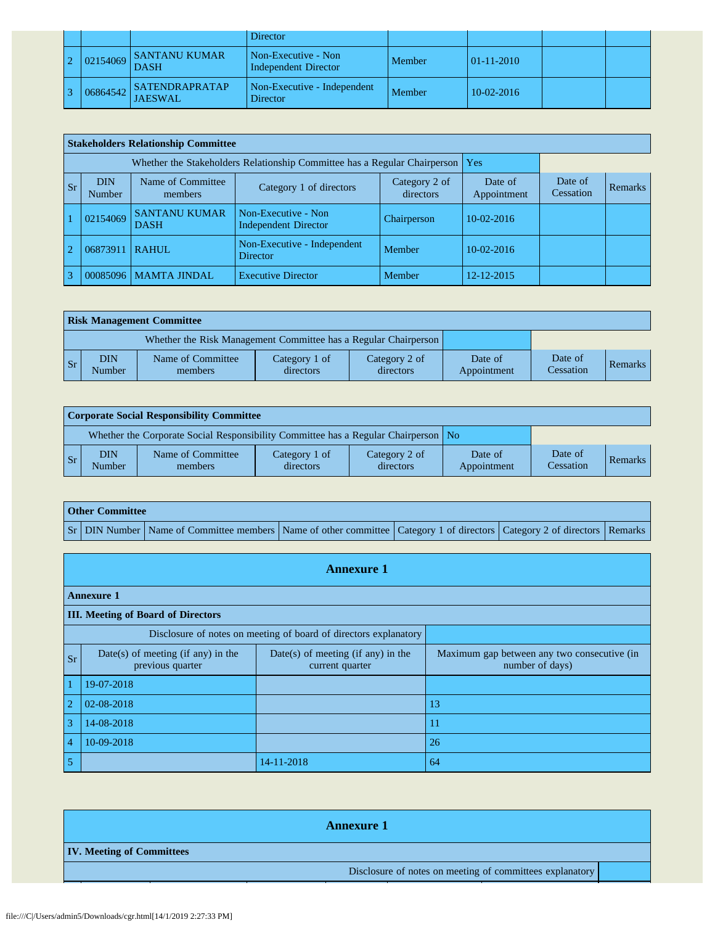|          |                                         | Director                                    |        |                  |  |
|----------|-----------------------------------------|---------------------------------------------|--------|------------------|--|
| 02154069 | SANTANU KUMAR<br><b>DASH</b>            | Non-Executive - Non<br>Independent Director | Member | $01 - 11 - 2010$ |  |
| 06864542 | <b>SATENDRAPRATAP</b><br><b>JAESWAL</b> | Non-Executive - Independent<br>Director     | Member | $10-02-2016$     |  |

|                | <b>Stakeholders Relationship Committee</b> |                                     |                                                                                 |                            |                        |                      |                |  |
|----------------|--------------------------------------------|-------------------------------------|---------------------------------------------------------------------------------|----------------------------|------------------------|----------------------|----------------|--|
|                |                                            |                                     | Whether the Stakeholders Relationship Committee has a Regular Chairperson   Yes |                            |                        |                      |                |  |
| <b>Sr</b>      | <b>DIN</b><br><b>Number</b>                | Name of Committee<br>members        | Category 1 of directors                                                         | Category 2 of<br>directors | Date of<br>Appointment | Date of<br>Cessation | <b>Remarks</b> |  |
|                | 02154069                                   | <b>SANTANU KUMAR</b><br><b>DASH</b> | Non-Executive - Non<br><b>Independent Director</b>                              | Chairperson                | $10-02-2016$           |                      |                |  |
| $\overline{2}$ | 06873911                                   | <b>RAHUL</b>                        | Non-Executive - Independent<br>Director                                         | Member                     | $10-02-2016$           |                      |                |  |
| $\mathbf{R}$   |                                            | 00085096   MAMTA JINDAL             | <b>Executive Director</b>                                                       | Member                     | 12-12-2015             |                      |                |  |

|           | <b>Risk Management Committee</b> |                                                                 |                            |                            |                        |                      |                |  |
|-----------|----------------------------------|-----------------------------------------------------------------|----------------------------|----------------------------|------------------------|----------------------|----------------|--|
|           |                                  | Whether the Risk Management Committee has a Regular Chairperson |                            |                            |                        |                      |                |  |
| <b>Sr</b> | DIN<br><b>Number</b>             | Name of Committee<br>members                                    | Category 1 of<br>directors | Category 2 of<br>directors | Date of<br>Appointment | Date of<br>Cessation | <b>Remarks</b> |  |

| Corporate Social Responsibility Committee |                                                                                    |                              |                            |                            |                        |                      |         |
|-------------------------------------------|------------------------------------------------------------------------------------|------------------------------|----------------------------|----------------------------|------------------------|----------------------|---------|
|                                           | Whether the Corporate Social Responsibility Committee has a Regular Chairperson No |                              |                            |                            |                        |                      |         |
| <b>Sr</b>                                 | <b>DIN</b><br>Number                                                               | Name of Committee<br>members | Category 1 of<br>directors | Category 2 of<br>directors | Date of<br>Appointment | Date of<br>Cessation | Remarks |

| <b>Other Committee</b> |                                                                                                                                     |  |  |  |  |  |
|------------------------|-------------------------------------------------------------------------------------------------------------------------------------|--|--|--|--|--|
|                        | Sr   DIN Number   Name of Committee members   Name of other committee   Category 1 of directors   Category 2 of directors   Remarks |  |  |  |  |  |

|                | <b>Annexure 1</b>                                                |                                                         |                                                                |  |  |  |  |
|----------------|------------------------------------------------------------------|---------------------------------------------------------|----------------------------------------------------------------|--|--|--|--|
|                | <b>Annexure 1</b>                                                |                                                         |                                                                |  |  |  |  |
|                | <b>III. Meeting of Board of Directors</b>                        |                                                         |                                                                |  |  |  |  |
|                | Disclosure of notes on meeting of board of directors explanatory |                                                         |                                                                |  |  |  |  |
| <b>Sr</b>      | Date(s) of meeting (if any) in the<br>previous quarter           | $Date(s)$ of meeting (if any) in the<br>current quarter | Maximum gap between any two consecutive (in<br>number of days) |  |  |  |  |
|                | 19-07-2018                                                       |                                                         |                                                                |  |  |  |  |
| $\overline{2}$ | 02-08-2018                                                       |                                                         | 13                                                             |  |  |  |  |
| 3              | 14-08-2018                                                       |                                                         | 11                                                             |  |  |  |  |
| $\overline{4}$ | 10-09-2018                                                       |                                                         | 26                                                             |  |  |  |  |
| 5              |                                                                  | 14-11-2018                                              | 64                                                             |  |  |  |  |

| <b>Annexure 1</b>                                        |  |  |  |  |  |
|----------------------------------------------------------|--|--|--|--|--|
| <b>IV. Meeting of Committees</b>                         |  |  |  |  |  |
| Disclosure of notes on meeting of committees explanatory |  |  |  |  |  |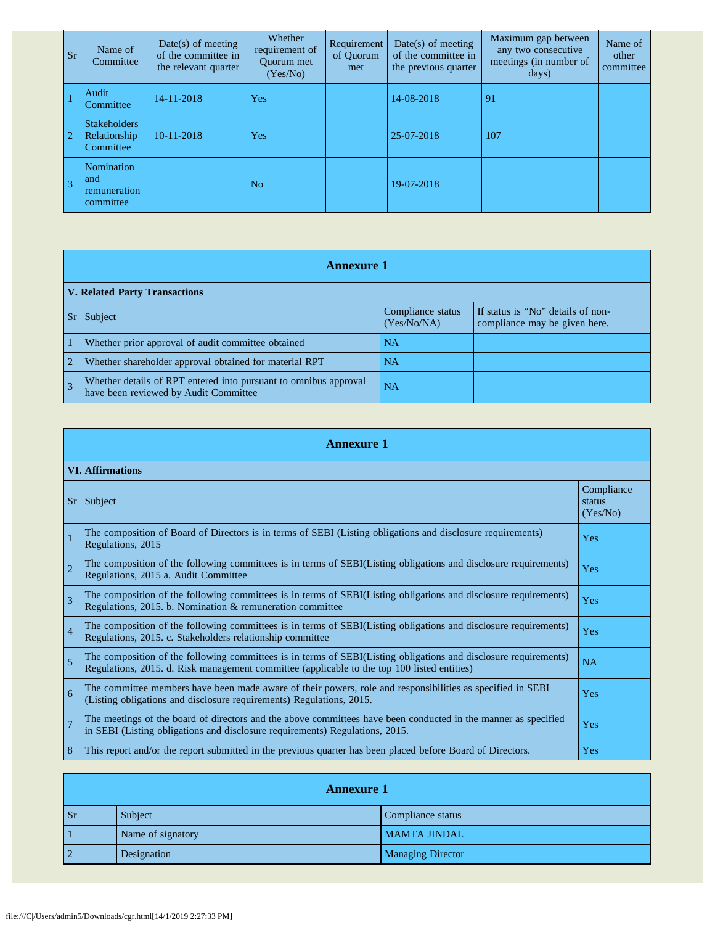| <b>Sr</b>      | Name of<br>Committee                             | $Date(s)$ of meeting<br>of the committee in<br>the relevant quarter | Whether<br>requirement of<br><b>Ouorum</b> met<br>(Yes/No) | Requirement<br>of Ouorum<br>met | $Date(s)$ of meeting<br>of the committee in<br>the previous quarter | Maximum gap between<br>any two consecutive<br>meetings (in number of<br>days) | Name of<br>other<br>committee |
|----------------|--------------------------------------------------|---------------------------------------------------------------------|------------------------------------------------------------|---------------------------------|---------------------------------------------------------------------|-------------------------------------------------------------------------------|-------------------------------|
|                | Audit<br>Committee                               | 14-11-2018                                                          | Yes                                                        |                                 | 14-08-2018                                                          | 91                                                                            |                               |
| $\overline{2}$ | <b>Stakeholders</b><br>Relationship<br>Committee | 10-11-2018                                                          | Yes                                                        |                                 | 25-07-2018                                                          | 107                                                                           |                               |
| $\overline{3}$ | Nomination<br>and<br>remuneration<br>committee   |                                                                     | N <sub>o</sub>                                             |                                 | 19-07-2018                                                          |                                                                               |                               |

|                                      | <b>Annexure 1</b>                                                                                         |                                  |                                                                    |  |  |
|--------------------------------------|-----------------------------------------------------------------------------------------------------------|----------------------------------|--------------------------------------------------------------------|--|--|
| <b>V. Related Party Transactions</b> |                                                                                                           |                                  |                                                                    |  |  |
| $ S_{r} $                            | Subject                                                                                                   | Compliance status<br>(Yes/No/NA) | If status is "No" details of non-<br>compliance may be given here. |  |  |
|                                      | Whether prior approval of audit committee obtained                                                        | <b>NA</b>                        |                                                                    |  |  |
| $\overline{2}$                       | Whether shareholder approval obtained for material RPT                                                    | <b>NA</b>                        |                                                                    |  |  |
| $\overline{3}$                       | Whether details of RPT entered into pursuant to omnibus approval<br>have been reviewed by Audit Committee | <b>NA</b>                        |                                                                    |  |  |

|                | <b>Annexure 1</b>                                                                                                                                                                                               |                                  |  |  |  |
|----------------|-----------------------------------------------------------------------------------------------------------------------------------------------------------------------------------------------------------------|----------------------------------|--|--|--|
|                | <b>VI. Affirmations</b>                                                                                                                                                                                         |                                  |  |  |  |
| Sr             | Subject                                                                                                                                                                                                         | Compliance<br>status<br>(Yes/No) |  |  |  |
|                | The composition of Board of Directors is in terms of SEBI (Listing obligations and disclosure requirements)<br>Regulations, 2015                                                                                | Yes                              |  |  |  |
| $\overline{2}$ | The composition of the following committees is in terms of SEBI(Listing obligations and disclosure requirements)<br>Regulations, 2015 a. Audit Committee                                                        | Yes                              |  |  |  |
| 3              | The composition of the following committees is in terms of SEBI(Listing obligations and disclosure requirements)<br>Regulations, 2015. b. Nomination & remuneration committee                                   | Yes                              |  |  |  |
| $\overline{4}$ | The composition of the following committees is in terms of SEBI(Listing obligations and disclosure requirements)<br>Regulations, 2015. c. Stakeholders relationship committee                                   | Yes                              |  |  |  |
| 5              | The composition of the following committees is in terms of SEBI(Listing obligations and disclosure requirements)<br>Regulations, 2015. d. Risk management committee (applicable to the top 100 listed entities) | NA                               |  |  |  |
| 6              | The committee members have been made aware of their powers, role and responsibilities as specified in SEBI<br>(Listing obligations and disclosure requirements) Regulations, 2015.                              | Yes                              |  |  |  |
| $\overline{7}$ | The meetings of the board of directors and the above committees have been conducted in the manner as specified<br>in SEBI (Listing obligations and disclosure requirements) Regulations, 2015.                  | Yes                              |  |  |  |
| 8              | This report and/or the report submitted in the previous quarter has been placed before Board of Directors.                                                                                                      | Yes                              |  |  |  |

| <b>Annexure 1</b> |                   |                          |
|-------------------|-------------------|--------------------------|
| <b>Sr</b>         | Subject           | Compliance status        |
|                   | Name of signatory | <b>MAMTA JINDAL</b>      |
|                   | Designation       | <b>Managing Director</b> |